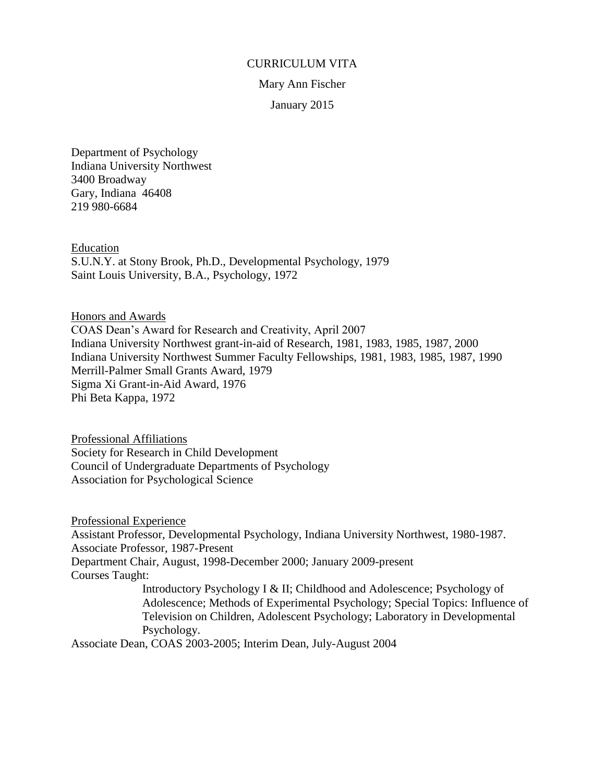## CURRICULUM VITA

## Mary Ann Fischer

January 2015

Department of Psychology Indiana University Northwest 3400 Broadway Gary, Indiana 46408 219 980-6684

Education S.U.N.Y. at Stony Brook, Ph.D., Developmental Psychology, 1979 Saint Louis University, B.A., Psychology, 1972

Honors and Awards COAS Dean's Award for Research and Creativity, April 2007 Indiana University Northwest grant-in-aid of Research, 1981, 1983, 1985, 1987, 2000 Indiana University Northwest Summer Faculty Fellowships, 1981, 1983, 1985, 1987, 1990 Merrill-Palmer Small Grants Award, 1979 Sigma Xi Grant-in-Aid Award, 1976 Phi Beta Kappa, 1972

Professional Affiliations Society for Research in Child Development Council of Undergraduate Departments of Psychology Association for Psychological Science

Professional Experience Assistant Professor, Developmental Psychology, Indiana University Northwest, 1980-1987. Associate Professor, 1987-Present Department Chair, August, 1998-December 2000; January 2009-present Courses Taught: Introductory Psychology I & II; Childhood and Adolescence; Psychology of Adolescence; Methods of Experimental Psychology; Special Topics: Influence of Television on Children, Adolescent Psychology; Laboratory in Developmental Psychology. Associate Dean, COAS 2003-2005; Interim Dean, July-August 2004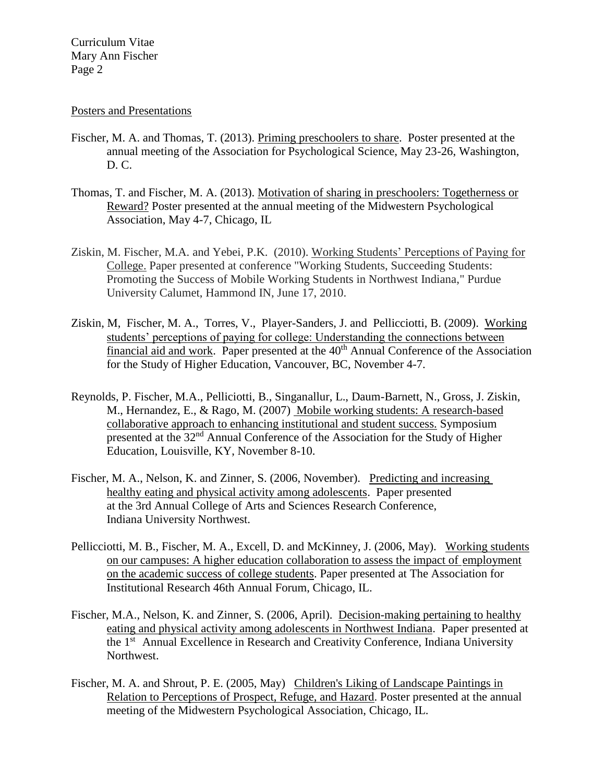Curriculum Vitae Mary Ann Fischer Page 2

## Posters and Presentations

- Fischer, M. A. and Thomas, T. (2013). Priming preschoolers to share. Poster presented at the annual meeting of the Association for Psychological Science, May 23-26, Washington, D. C.
- Thomas, T. and Fischer, M. A. (2013). Motivation of sharing in preschoolers: Togetherness or Reward? Poster presented at the annual meeting of the Midwestern Psychological Association, May 4-7, Chicago, IL
- Ziskin, M. Fischer, M.A. and Yebei, P.K. (2010). Working Students' Perceptions of Paying for College. Paper presented at conference "Working Students, Succeeding Students: Promoting the Success of Mobile Working Students in Northwest Indiana," Purdue University Calumet, Hammond IN, June 17, 2010.
- Ziskin, M, Fischer, M. A., Torres, V., Player-Sanders, J. and Pellicciotti, B. (2009). Working students' perceptions of paying for college: Understanding the connections between financial aid and work. Paper presented at the  $40<sup>th</sup>$  Annual Conference of the Association for the Study of Higher Education, Vancouver, BC, November 4-7.
- Reynolds, P. Fischer, M.A., Pelliciotti, B., Singanallur, L., Daum-Barnett, N., Gross, J. Ziskin, M., Hernandez, E., & Rago, M. (2007) Mobile working students: A research-based collaborative approach to enhancing institutional and student success. Symposium presented at the 32<sup>nd</sup> Annual Conference of the Association for the Study of Higher Education, Louisville, KY, November 8-10.
- Fischer, M. A., Nelson, K. and Zinner, S. (2006, November). Predicting and increasing healthy eating and physical activity among adolescents. Paper presented at the 3rd Annual College of Arts and Sciences Research Conference, Indiana University Northwest.
- Pellicciotti, M. B., Fischer, M. A., Excell, D. and McKinney, J. (2006, May). Working students on our campuses: A higher education collaboration to assess the impact of employment on the academic success of college students. Paper presented at The Association for Institutional Research 46th Annual Forum, Chicago, IL.
- Fischer, M.A., Nelson, K. and Zinner, S. (2006, April). Decision-making pertaining to healthy eating and physical activity among adolescents in Northwest Indiana. Paper presented at the 1st Annual Excellence in Research and Creativity Conference, Indiana University Northwest.
- Fischer, M. A. and Shrout, P. E. (2005, May) Children's Liking of Landscape Paintings in Relation to Perceptions of Prospect, Refuge, and Hazard. Poster presented at the annual meeting of the Midwestern Psychological Association, Chicago, IL.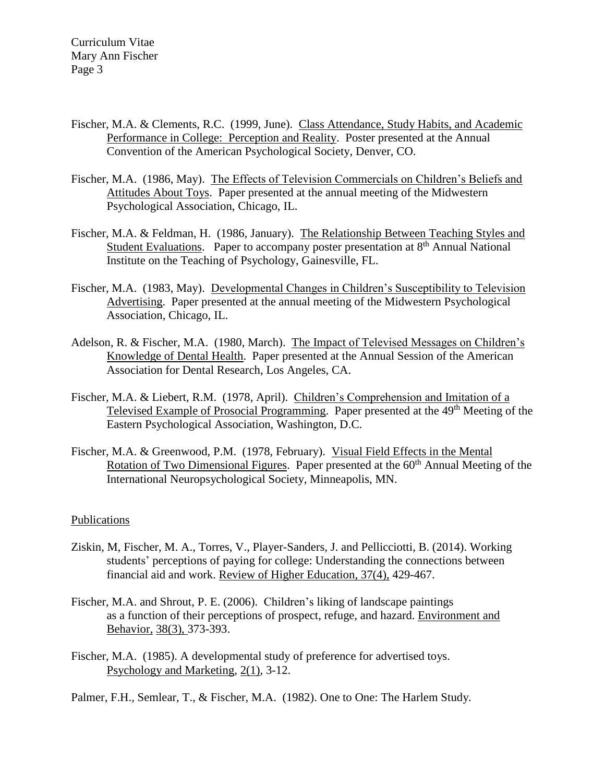- Fischer, M.A. & Clements, R.C. (1999, June). Class Attendance, Study Habits, and Academic Performance in College: Perception and Reality. Poster presented at the Annual Convention of the American Psychological Society, Denver, CO.
- Fischer, M.A. (1986, May). The Effects of Television Commercials on Children's Beliefs and Attitudes About Toys. Paper presented at the annual meeting of the Midwestern Psychological Association, Chicago, IL.
- Fischer, M.A. & Feldman, H. (1986, January). The Relationship Between Teaching Styles and Student Evaluations. Paper to accompany poster presentation at 8<sup>th</sup> Annual National Institute on the Teaching of Psychology, Gainesville, FL.
- Fischer, M.A. (1983, May). Developmental Changes in Children's Susceptibility to Television Advertising. Paper presented at the annual meeting of the Midwestern Psychological Association, Chicago, IL.
- Adelson, R. & Fischer, M.A. (1980, March). The Impact of Televised Messages on Children's Knowledge of Dental Health. Paper presented at the Annual Session of the American Association for Dental Research, Los Angeles, CA.
- Fischer, M.A. & Liebert, R.M. (1978, April). Children's Comprehension and Imitation of a Televised Example of Prosocial Programming. Paper presented at the 49<sup>th</sup> Meeting of the Eastern Psychological Association, Washington, D.C.
- Fischer, M.A. & Greenwood, P.M. (1978, February). Visual Field Effects in the Mental Rotation of Two Dimensional Figures. Paper presented at the 60<sup>th</sup> Annual Meeting of the International Neuropsychological Society, Minneapolis, MN.

## Publications

- Ziskin, M, Fischer, M. A., Torres, V., Player-Sanders, J. and Pellicciotti, B. (2014). Working students' perceptions of paying for college: Understanding the connections between financial aid and work. Review of Higher Education, 37(4), 429-467.
- Fischer, M.A. and Shrout, P. E. (2006). Children's liking of landscape paintings as a function of their perceptions of prospect, refuge, and hazard. Environment and Behavior, 38(3), 373-393.
- Fischer, M.A. (1985). A developmental study of preference for advertised toys. Psychology and Marketing, 2(1), 3-12.

Palmer, F.H., Semlear, T., & Fischer, M.A. (1982). One to One: The Harlem Study.